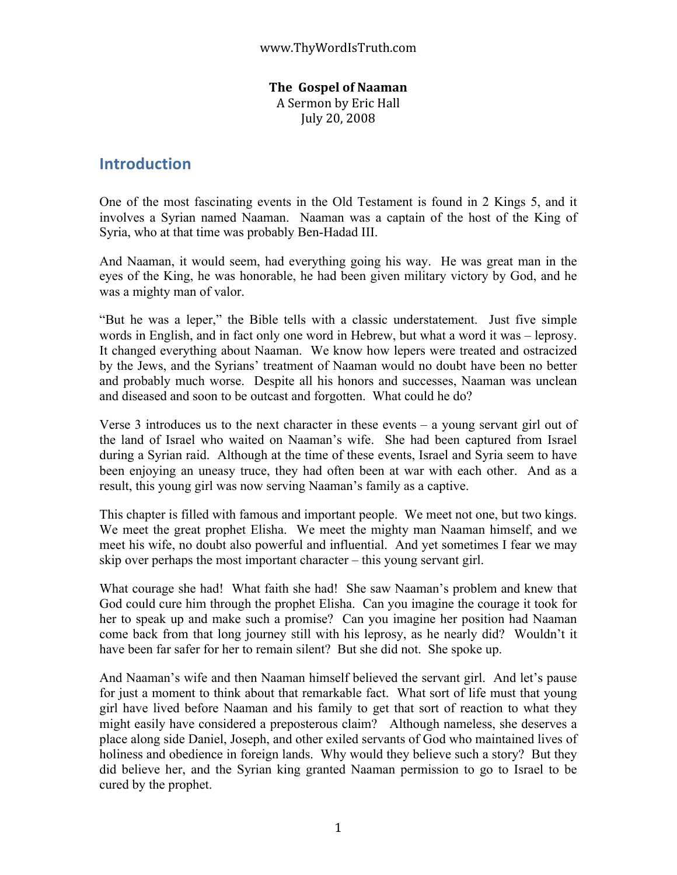## **The

Gospel
of
Naaman**

A
Sermon
by
Eric
Hall July
20,
2008

# **Introduction**

One of the most fascinating events in the Old Testament is found in 2 Kings 5, and it involves a Syrian named Naaman. Naaman was a captain of the host of the King of Syria, who at that time was probably Ben-Hadad III.

And Naaman, it would seem, had everything going his way. He was great man in the eyes of the King, he was honorable, he had been given military victory by God, and he was a mighty man of valor.

"But he was a leper," the Bible tells with a classic understatement. Just five simple words in English, and in fact only one word in Hebrew, but what a word it was – leprosy. It changed everything about Naaman. We know how lepers were treated and ostracized by the Jews, and the Syrians' treatment of Naaman would no doubt have been no better and probably much worse. Despite all his honors and successes, Naaman was unclean and diseased and soon to be outcast and forgotten. What could he do?

Verse 3 introduces us to the next character in these events  $-$  a young servant girl out of the land of Israel who waited on Naaman's wife. She had been captured from Israel during a Syrian raid. Although at the time of these events, Israel and Syria seem to have been enjoying an uneasy truce, they had often been at war with each other. And as a result, this young girl was now serving Naaman's family as a captive.

This chapter is filled with famous and important people. We meet not one, but two kings. We meet the great prophet Elisha. We meet the mighty man Naaman himself, and we meet his wife, no doubt also powerful and influential. And yet sometimes I fear we may skip over perhaps the most important character – this young servant girl.

What courage she had! What faith she had! She saw Naaman's problem and knew that God could cure him through the prophet Elisha. Can you imagine the courage it took for her to speak up and make such a promise? Can you imagine her position had Naaman come back from that long journey still with his leprosy, as he nearly did? Wouldn't it have been far safer for her to remain silent? But she did not. She spoke up.

And Naaman's wife and then Naaman himself believed the servant girl. And let's pause for just a moment to think about that remarkable fact. What sort of life must that young girl have lived before Naaman and his family to get that sort of reaction to what they might easily have considered a preposterous claim? Although nameless, she deserves a place along side Daniel, Joseph, and other exiled servants of God who maintained lives of holiness and obedience in foreign lands. Why would they believe such a story? But they did believe her, and the Syrian king granted Naaman permission to go to Israel to be cured by the prophet.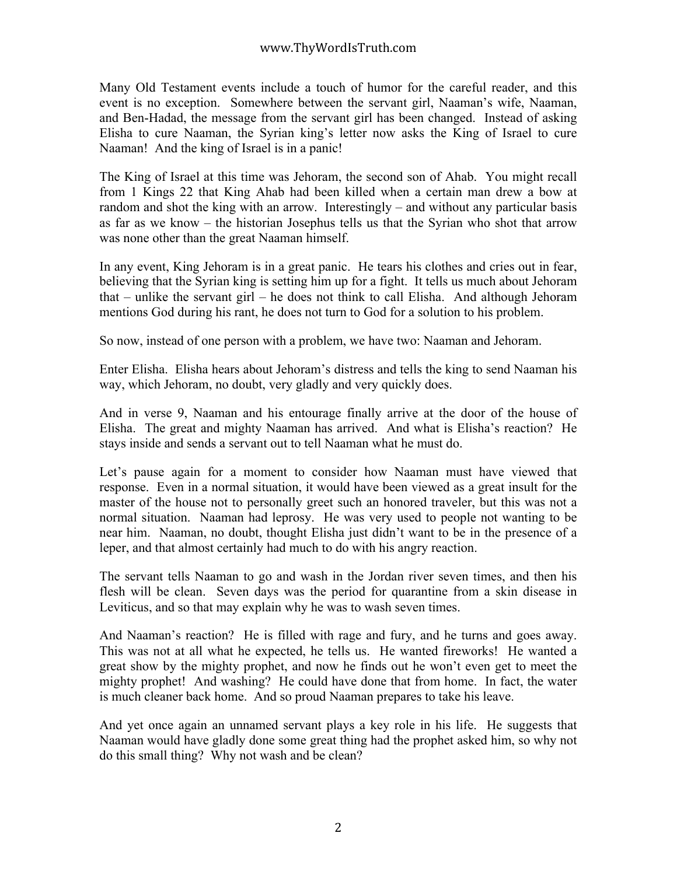Many Old Testament events include a touch of humor for the careful reader, and this event is no exception. Somewhere between the servant girl, Naaman's wife, Naaman, and Ben-Hadad, the message from the servant girl has been changed. Instead of asking Elisha to cure Naaman, the Syrian king's letter now asks the King of Israel to cure Naaman! And the king of Israel is in a panic!

The King of Israel at this time was Jehoram, the second son of Ahab. You might recall from 1 Kings 22 that King Ahab had been killed when a certain man drew a bow at random and shot the king with an arrow. Interestingly – and without any particular basis as far as we know – the historian Josephus tells us that the Syrian who shot that arrow was none other than the great Naaman himself.

In any event, King Jehoram is in a great panic. He tears his clothes and cries out in fear, believing that the Syrian king is setting him up for a fight. It tells us much about Jehoram that – unlike the servant girl – he does not think to call Elisha. And although Jehoram mentions God during his rant, he does not turn to God for a solution to his problem.

So now, instead of one person with a problem, we have two: Naaman and Jehoram.

Enter Elisha. Elisha hears about Jehoram's distress and tells the king to send Naaman his way, which Jehoram, no doubt, very gladly and very quickly does.

And in verse 9, Naaman and his entourage finally arrive at the door of the house of Elisha. The great and mighty Naaman has arrived. And what is Elisha's reaction? He stays inside and sends a servant out to tell Naaman what he must do.

Let's pause again for a moment to consider how Naaman must have viewed that response. Even in a normal situation, it would have been viewed as a great insult for the master of the house not to personally greet such an honored traveler, but this was not a normal situation. Naaman had leprosy. He was very used to people not wanting to be near him. Naaman, no doubt, thought Elisha just didn't want to be in the presence of a leper, and that almost certainly had much to do with his angry reaction.

The servant tells Naaman to go and wash in the Jordan river seven times, and then his flesh will be clean. Seven days was the period for quarantine from a skin disease in Leviticus, and so that may explain why he was to wash seven times.

And Naaman's reaction? He is filled with rage and fury, and he turns and goes away. This was not at all what he expected, he tells us. He wanted fireworks! He wanted a great show by the mighty prophet, and now he finds out he won't even get to meet the mighty prophet! And washing? He could have done that from home. In fact, the water is much cleaner back home. And so proud Naaman prepares to take his leave.

And yet once again an unnamed servant plays a key role in his life. He suggests that Naaman would have gladly done some great thing had the prophet asked him, so why not do this small thing? Why not wash and be clean?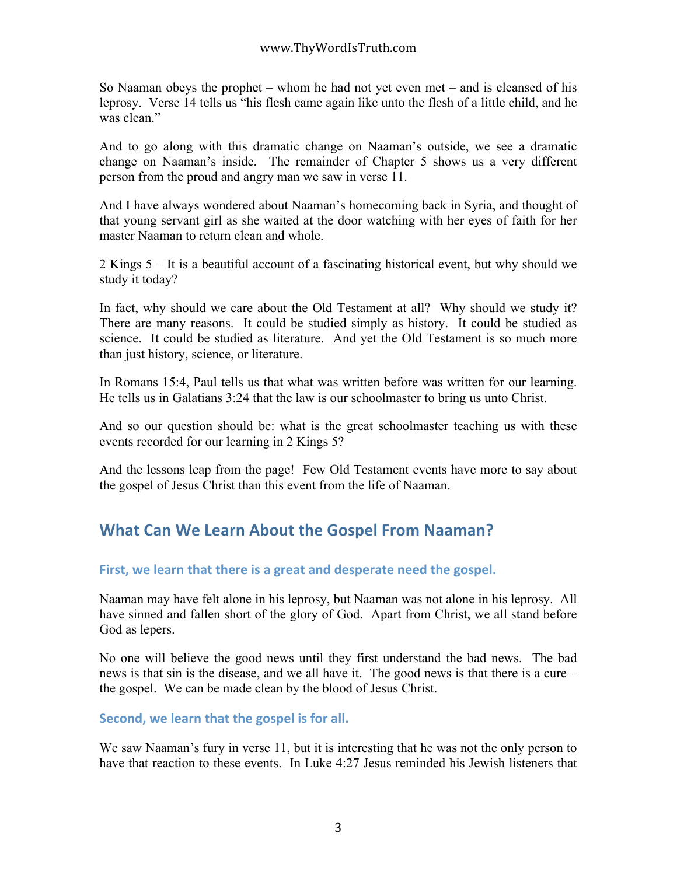So Naaman obeys the prophet – whom he had not yet even met – and is cleansed of his leprosy. Verse 14 tells us "his flesh came again like unto the flesh of a little child, and he was clean."

And to go along with this dramatic change on Naaman's outside, we see a dramatic change on Naaman's inside. The remainder of Chapter 5 shows us a very different person from the proud and angry man we saw in verse 11.

And I have always wondered about Naaman's homecoming back in Syria, and thought of that young servant girl as she waited at the door watching with her eyes of faith for her master Naaman to return clean and whole.

2 Kings 5 – It is a beautiful account of a fascinating historical event, but why should we study it today?

In fact, why should we care about the Old Testament at all? Why should we study it? There are many reasons. It could be studied simply as history. It could be studied as science. It could be studied as literature. And yet the Old Testament is so much more than just history, science, or literature.

In Romans 15:4, Paul tells us that what was written before was written for our learning. He tells us in Galatians 3:24 that the law is our schoolmaster to bring us unto Christ.

And so our question should be: what is the great schoolmaster teaching us with these events recorded for our learning in 2 Kings 5?

And the lessons leap from the page! Few Old Testament events have more to say about the gospel of Jesus Christ than this event from the life of Naaman.

# **What
Can
We
Learn
About
the
Gospel
From
Naaman?**

# First, we learn that there is a great and desperate need the gospel.

Naaman may have felt alone in his leprosy, but Naaman was not alone in his leprosy. All have sinned and fallen short of the glory of God. Apart from Christ, we all stand before God as lepers.

No one will believe the good news until they first understand the bad news. The bad news is that sin is the disease, and we all have it. The good news is that there is a cure – the gospel. We can be made clean by the blood of Jesus Christ.

# Second, we learn that the gospel is for all.

We saw Naaman's fury in verse 11, but it is interesting that he was not the only person to have that reaction to these events. In Luke 4:27 Jesus reminded his Jewish listeners that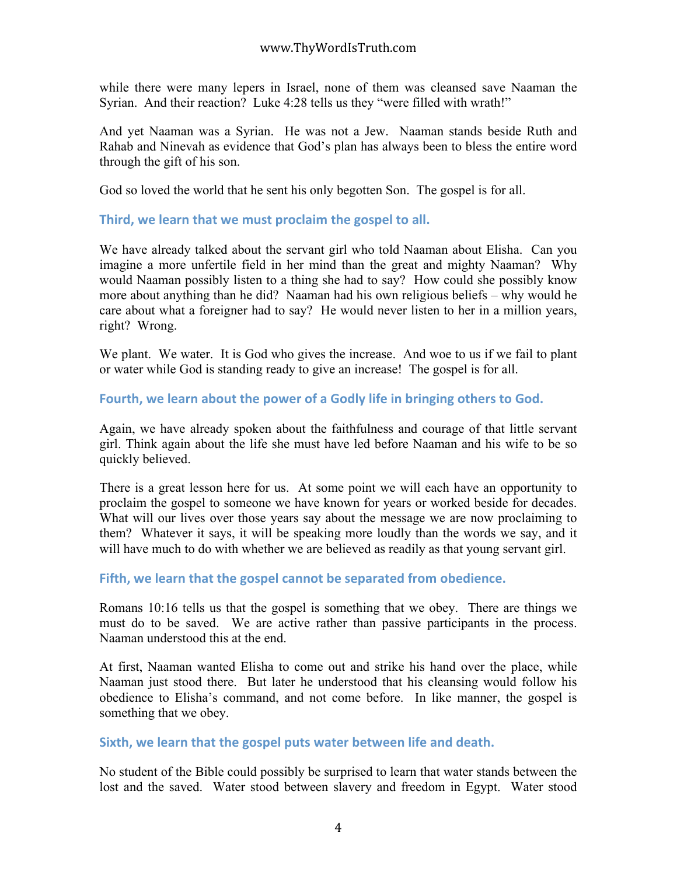while there were many lepers in Israel, none of them was cleansed save Naaman the Syrian. And their reaction? Luke 4:28 tells us they "were filled with wrath!"

And yet Naaman was a Syrian. He was not a Jew. Naaman stands beside Ruth and Rahab and Ninevah as evidence that God's plan has always been to bless the entire word through the gift of his son.

God so loved the world that he sent his only begotten Son. The gospel is for all.

Third, we learn that we must proclaim the gospel to all.

We have already talked about the servant girl who told Naaman about Elisha. Can you imagine a more unfertile field in her mind than the great and mighty Naaman? Why would Naaman possibly listen to a thing she had to say? How could she possibly know more about anything than he did? Naaman had his own religious beliefs – why would he care about what a foreigner had to say? He would never listen to her in a million years, right? Wrong.

We plant. We water. It is God who gives the increase. And woe to us if we fail to plant or water while God is standing ready to give an increase! The gospel is for all.

Fourth, we learn about the power of a Godly life in bringing others to God.

Again, we have already spoken about the faithfulness and courage of that little servant girl. Think again about the life she must have led before Naaman and his wife to be so quickly believed.

There is a great lesson here for us. At some point we will each have an opportunity to proclaim the gospel to someone we have known for years or worked beside for decades. What will our lives over those years say about the message we are now proclaiming to them? Whatever it says, it will be speaking more loudly than the words we say, and it will have much to do with whether we are believed as readily as that young servant girl.

# Fifth, we learn that the gospel cannot be separated from obedience.

Romans 10:16 tells us that the gospel is something that we obey. There are things we must do to be saved. We are active rather than passive participants in the process. Naaman understood this at the end.

At first, Naaman wanted Elisha to come out and strike his hand over the place, while Naaman just stood there. But later he understood that his cleansing would follow his obedience to Elisha's command, and not come before. In like manner, the gospel is something that we obey.

### Sixth, we learn that the gospel puts water between life and death.

No student of the Bible could possibly be surprised to learn that water stands between the lost and the saved. Water stood between slavery and freedom in Egypt. Water stood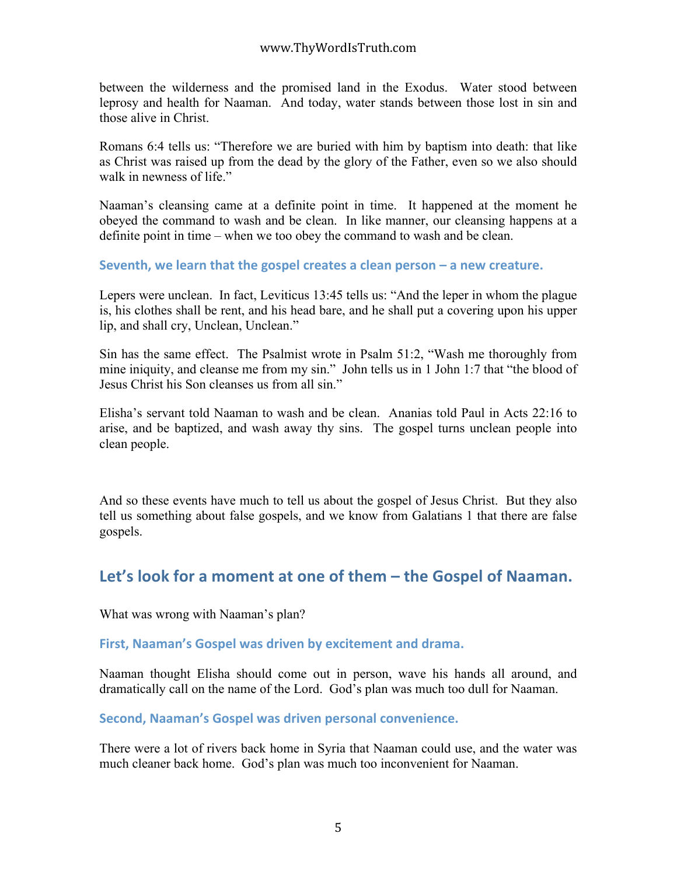between the wilderness and the promised land in the Exodus. Water stood between leprosy and health for Naaman. And today, water stands between those lost in sin and those alive in Christ.

Romans 6:4 tells us: "Therefore we are buried with him by baptism into death: that like as Christ was raised up from the dead by the glory of the Father, even so we also should walk in newness of life."

Naaman's cleansing came at a definite point in time. It happened at the moment he obeyed the command to wash and be clean. In like manner, our cleansing happens at a definite point in time – when we too obey the command to wash and be clean.

Seventh, we learn that the gospel creates a clean person – a new creature.

Lepers were unclean. In fact, Leviticus 13:45 tells us: "And the leper in whom the plague is, his clothes shall be rent, and his head bare, and he shall put a covering upon his upper lip, and shall cry, Unclean, Unclean."

Sin has the same effect. The Psalmist wrote in Psalm 51:2, "Wash me thoroughly from mine iniquity, and cleanse me from my sin." John tells us in 1 John 1:7 that "the blood of Jesus Christ his Son cleanses us from all sin."

Elisha's servant told Naaman to wash and be clean. Ananias told Paul in Acts 22:16 to arise, and be baptized, and wash away thy sins. The gospel turns unclean people into clean people.

And so these events have much to tell us about the gospel of Jesus Christ. But they also tell us something about false gospels, and we know from Galatians 1 that there are false gospels.

# Let's look for a moment at one of them – the Gospel of Naaman.

What was wrong with Naaman's plan?

### **First,
Naaman's
Gospel was
driven
by
excitement
and
drama.**

Naaman thought Elisha should come out in person, wave his hands all around, and dramatically call on the name of the Lord. God's plan was much too dull for Naaman.

**Second,
Naaman's
Gospel was
driven
personal
convenience.** 

There were a lot of rivers back home in Syria that Naaman could use, and the water was much cleaner back home. God's plan was much too inconvenient for Naaman.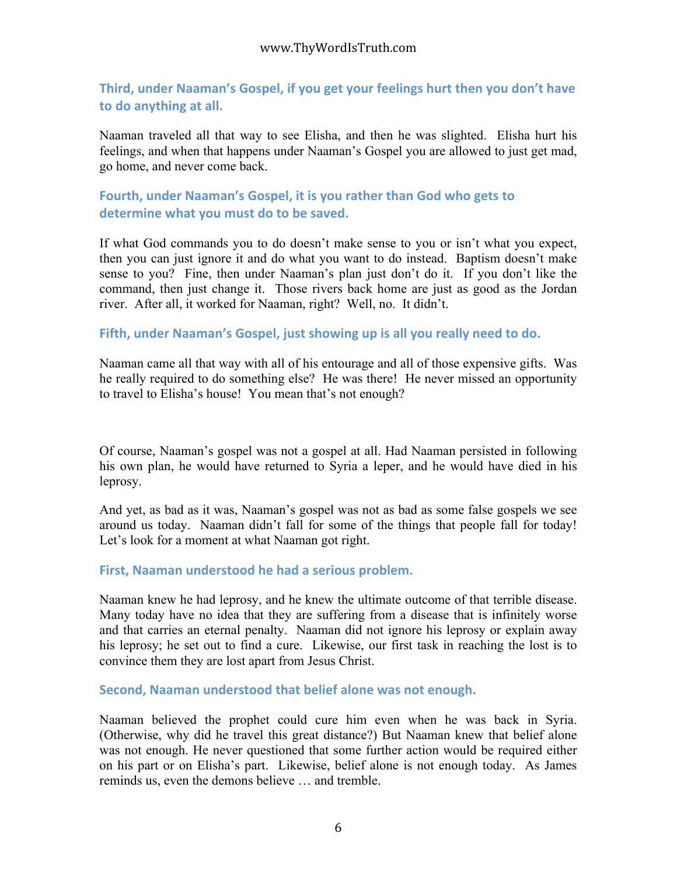# Third, under Naaman's Gospel, if you get your feelings hurt then you don't have **to
do
anything
at
all.**

Naaman traveled all that way to see Elisha, and then he was slighted. Elisha hurt his feelings, and when that happens under Naaman's Gospel you are allowed to just get mad, go home, and never come back.

## Fourth, under Naaman's Gospel, it is you rather than God who gets to determine what you must do to be saved.

If what God commands you to do doesn't make sense to you or isn't what you expect, then you can just ignore it and do what you want to do instead. Baptism doesn't make sense to you? Fine, then under Naaman's plan just don't do it. If you don't like the command, then just change it. Those rivers back home are just as good as the Jordan river. After all, it worked for Naaman, right? Well, no. It didn't.

Fifth, under Naaman's Gospel, just showing up is all you really need to do.

Naaman came all that way with all of his entourage and all of those expensive gifts. Was he really required to do something else? He was there! He never missed an opportunity to travel to Elisha's house! You mean that's not enough?

Of course, Naaman's gospel was not a gospel at all. Had Naaman persisted in following his own plan, he would have returned to Syria a leper, and he would have died in his leprosy.

And yet, as bad as it was, Naaman's gospel was not as bad as some false gospels we see around us today. Naaman didn't fall for some of the things that people fall for today! Let's look for a moment at what Naaman got right.

### **First,
Naaman
understood
he
had
a
serious
problem.**

Naaman knew he had leprosy, and he knew the ultimate outcome of that terrible disease. Many today have no idea that they are suffering from a disease that is infinitely worse and that carries an eternal penalty. Naaman did not ignore his leprosy or explain away his leprosy; he set out to find a cure. Likewise, our first task in reaching the lost is to convince them they are lost apart from Jesus Christ.

#### Second, Naaman understood that belief alone was not enough.

Naaman believed the prophet could cure him even when he was back in Syria. (Otherwise, why did he travel this great distance?) But Naaman knew that belief alone was not enough. He never questioned that some further action would be required either on his part or on Elisha's part. Likewise, belief alone is not enough today. As James reminds us, even the demons believe … and tremble.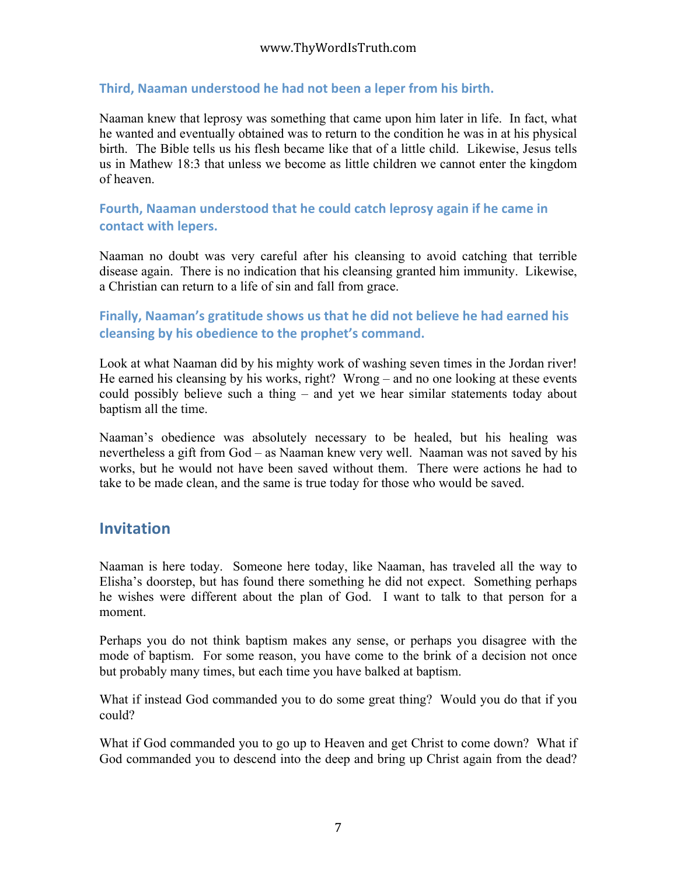## Third, Naaman understood he had not been a leper from his birth.

Naaman knew that leprosy was something that came upon him later in life. In fact, what he wanted and eventually obtained was to return to the condition he was in at his physical birth. The Bible tells us his flesh became like that of a little child. Likewise, Jesus tells us in Mathew 18:3 that unless we become as little children we cannot enter the kingdom of heaven.

# Fourth, Naaman understood that he could catch leprosy again if he came in **contact
with
lepers.**

Naaman no doubt was very careful after his cleansing to avoid catching that terrible disease again. There is no indication that his cleansing granted him immunity. Likewise, a Christian can return to a life of sin and fall from grace.

# Finally, Naaman's gratitude shows us that he did not believe he had earned his **cleansing
by
his
obedience
to
the
prophet's
command.**

Look at what Naaman did by his mighty work of washing seven times in the Jordan river! He earned his cleansing by his works, right? Wrong – and no one looking at these events could possibly believe such a thing – and yet we hear similar statements today about baptism all the time.

Naaman's obedience was absolutely necessary to be healed, but his healing was nevertheless a gift from God – as Naaman knew very well. Naaman was not saved by his works, but he would not have been saved without them. There were actions he had to take to be made clean, and the same is true today for those who would be saved.

# **Invitation**

Naaman is here today. Someone here today, like Naaman, has traveled all the way to Elisha's doorstep, but has found there something he did not expect. Something perhaps he wishes were different about the plan of God. I want to talk to that person for a moment.

Perhaps you do not think baptism makes any sense, or perhaps you disagree with the mode of baptism. For some reason, you have come to the brink of a decision not once but probably many times, but each time you have balked at baptism.

What if instead God commanded you to do some great thing? Would you do that if you could?

What if God commanded you to go up to Heaven and get Christ to come down? What if God commanded you to descend into the deep and bring up Christ again from the dead?